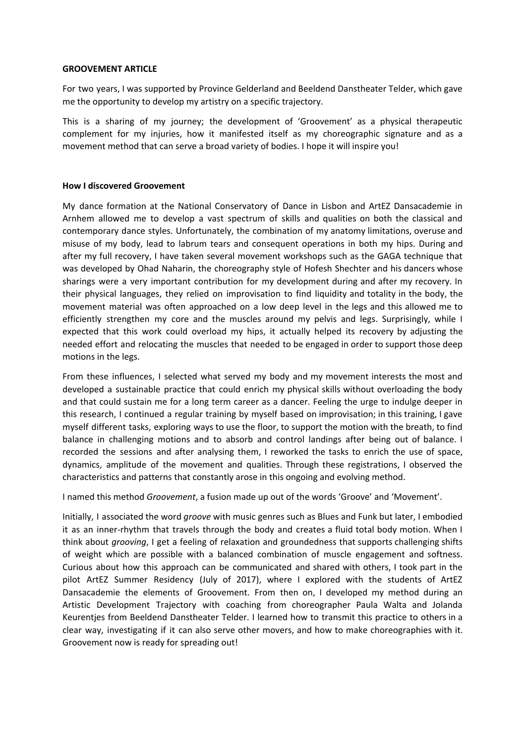#### **GROOVEMENT ARTICLE**

For two years, I was supported by Province Gelderland and Beeldend Danstheater Telder, which gave me the opportunity to develop my artistry on a specific trajectory.

This is a sharing of my journey; the development of 'Groovement' as a physical therapeutic complement for my injuries, how it manifested itself as my choreographic signature and as a movement method that can serve a broad variety of bodies. I hope it will inspire you!

# **How I discovered Groovement**

My dance formation at the National Conservatory of Dance in Lisbon and ArtEZ Dansacademie in Arnhem allowed me to develop a vast spectrum of skills and qualities on both the classical and contemporary dance styles. Unfortunately, the combination of my anatomy limitations, overuse and misuse of my body, lead to labrum tears and consequent operations in both my hips. During and after my full recovery, I have taken several movement workshops such as the GAGA technique that was developed by Ohad Naharin, the choreography style of Hofesh Shechter and his dancers whose sharings were a very important contribution for my development during and after my recovery. In their physical languages, they relied on improvisation to find liquidity and totality in the body, the movement material was often approached on a low deep level in the legs and this allowed me to efficiently strengthen my core and the muscles around my pelvis and legs. Surprisingly, while I expected that this work could overload my hips, it actually helped its recovery by adjusting the needed effort and relocating the muscles that needed to be engaged in order to support those deep motions in the legs.

From these influences, I selected what served my body and my movement interests the most and developed a sustainable practice that could enrich my physical skills without overloading the body and that could sustain me for a long term career as a dancer. Feeling the urge to indulge deeper in this research, I continued a regular training by myself based on improvisation; in this training, I gave myself different tasks, exploring ways to use the floor, to support the motion with the breath, to find balance in challenging motions and to absorb and control landings after being out of balance. I recorded the sessions and after analysing them, I reworked the tasks to enrich the use of space, dynamics, amplitude of the movement and qualities. Through these registrations, I observed the characteristics and patterns that constantly arose in this ongoing and evolving method.

I named this method *Groovement*, a fusion made up out of the words 'Groove' and 'Movement'.

Initially, I associated the word *groove* with music genres such as Blues and Funk but later, I embodied it as an inner-rhythm that travels through the body and creates a fluid total body motion. When I think about *grooving*, I get a feeling of relaxation and groundedness that supports challenging shifts of weight which are possible with a balanced combination of muscle engagement and softness. Curious about how this approach can be communicated and shared with others, I took part in the pilot ArtEZ Summer Residency (July of 2017), where I explored with the students of ArtEZ Dansacademie the elements of Groovement. From then on, I developed my method during an Artistic Development Trajectory with coaching from choreographer Paula Walta and Jolanda Keurentjes from Beeldend Danstheater Telder. I learned how to transmit this practice to others in a clear way, investigating if it can also serve other movers, and how to make choreographies with it. Groovement now is ready for spreading out!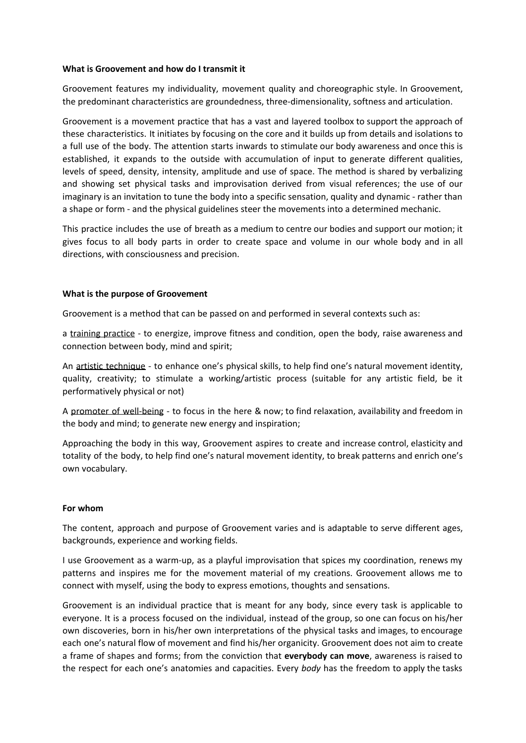### **What is Groovement and how do I transmit it**

Groovement features my individuality, movement quality and choreographic style. In Groovement, the predominant characteristics are groundedness, three-dimensionality, softness and articulation.

Groovement is a movement practice that has a vast and layered toolbox to support the approach of these characteristics. It initiates by focusing on the core and it builds up from details and isolations to a full use of the body. The attention starts inwards to stimulate our body awareness and once this is established, it expands to the outside with accumulation of input to generate different qualities, levels of speed, density, intensity, amplitude and use of space. The method is shared by verbalizing and showing set physical tasks and improvisation derived from visual references; the use of our imaginary is an invitation to tune the body into a specific sensation, quality and dynamic - rather than a shape or form - and the physical guidelines steer the movements into a determined mechanic.

This practice includes the use of breath as a medium to centre our bodies and support our motion; it gives focus to all body parts in order to create space and volume in our whole body and in all directions, with consciousness and precision.

### **What is the purpose of Groovement**

Groovement is a method that can be passed on and performed in several contexts such as:

a training practice - to energize, improve fitness and condition, open the body, raise awareness and connection between body, mind and spirit;

An artistic technique - to enhance one's physical skills, to help find one's natural movement identity, quality, creativity; to stimulate a working/artistic process (suitable for any artistic field, be it performatively physical or not)

A promoter of well-being - to focus in the here & now; to find relaxation, availability and freedom in the body and mind; to generate new energy and inspiration;

Approaching the body in this way, Groovement aspires to create and increase control, elasticity and totality of the body, to help find one's natural movement identity, to break patterns and enrich one's own vocabulary.

#### **For whom**

The content, approach and purpose of Groovement varies and is adaptable to serve different ages, backgrounds, experience and working fields.

I use Groovement as a warm-up, as a playful improvisation that spices my coordination, renews my patterns and inspires me for the movement material of my creations. Groovement allows me to connect with myself, using the body to express emotions, thoughts and sensations.

Groovement is an individual practice that is meant for any body, since every task is applicable to everyone. It is a process focused on the individual, instead of the group, so one can focus on his/her own discoveries, born in his/her own interpretations of the physical tasks and images, to encourage each one's natural flow of movement and find his/her organicity. Groovement does not aim to create a frame of shapes and forms; from the conviction that **everybody can move**, awareness is raised to the respect for each one's anatomies and capacities. Every *body* has the freedom to apply the tasks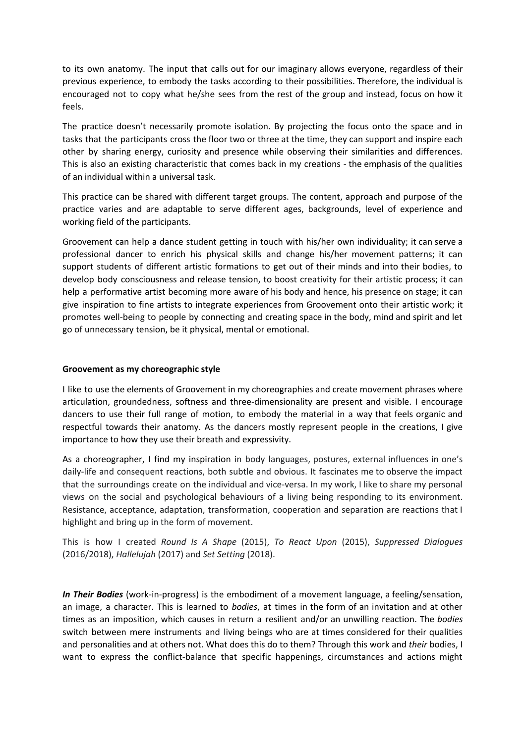to its own anatomy. The input that calls out for our imaginary allows everyone, regardless of their previous experience, to embody the tasks according to their possibilities. Therefore, the individual is encouraged not to copy what he/she sees from the rest of the group and instead, focus on how it feels.

The practice doesn't necessarily promote isolation. By projecting the focus onto the space and in tasks that the participants cross the floor two or three at the time, they can support and inspire each other by sharing energy, curiosity and presence while observing their similarities and differences. This is also an existing characteristic that comes back in my creations - the emphasis of the qualities of an individual within a universal task.

This practice can be shared with different target groups. The content, approach and purpose of the practice varies and are adaptable to serve different ages, backgrounds, level of experience and working field of the participants.

Groovement can help a dance student getting in touch with his/her own individuality; it can serve a professional dancer to enrich his physical skills and change his/her movement patterns; it can support students of different artistic formations to get out of their minds and into their bodies, to develop body consciousness and release tension, to boost creativity for their artistic process; it can help a performative artist becoming more aware of his body and hence, his presence on stage; it can give inspiration to fine artists to integrate experiences from Groovement onto their artistic work; it promotes well-being to people by connecting and creating space in the body, mind and spirit and let go of unnecessary tension, be it physical, mental or emotional.

# **Groovement as my choreographic style**

I like to use the elements of Groovement in my choreographies and create movement phrases where articulation, groundedness, softness and three-dimensionality are present and visible. I encourage dancers to use their full range of motion, to embody the material in a way that feels organic and respectful towards their anatomy. As the dancers mostly represent people in the creations, I give importance to how they use their breath and expressivity.

As a choreographer, I find my inspiration in body languages, postures, external influences in one's daily-life and consequent reactions, both subtle and obvious. It fascinates me to observe the impact that the surroundings create on the individual and vice-versa. In my work, I like to share my personal views on the social and psychological behaviours of a living being responding to its environment. Resistance, acceptance, adaptation, transformation, cooperation and separation are reactions that I highlight and bring up in the form of movement.

This is how I created *Round Is A Shape* (2015), *To React Upon* (2015), *Suppressed Dialogues* (2016/2018), *Hallelujah* (2017) and *Set Setting* (2018).

*In Their Bodies* (work-in-progress) is the embodiment of a movement language, a feeling/sensation, an image, a character. This is learned to *bodies*, at times in the form of an invitation and at other times as an imposition, which causes in return a resilient and/or an unwilling reaction. The *bodies* switch between mere instruments and living beings who are at times considered for their qualities and personalities and at others not. What does this do to them? Through this work and *their* bodies, I want to express the conflict-balance that specific happenings, circumstances and actions might